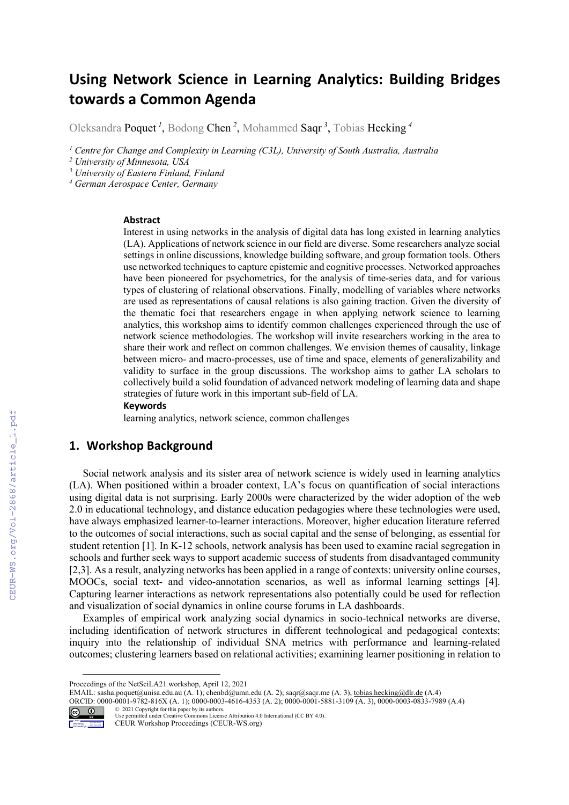# **Using Network Science in Learning Analytics: Building Bridges towards a Common Agenda**

Oleksandra Poquet *<sup>1</sup>* , Bodong Chen *<sup>2</sup>* , Mohammed Saqr *<sup>3</sup>* , Tobias Hecking *<sup>4</sup>*

*<sup>1</sup> Centre for Change and Complexity in Learning (C3L), University of South Australia, Australia*

*<sup>2</sup> University of Minnesota, USA*

*<sup>3</sup> University of Eastern Finland, Finland*

*<sup>4</sup> German Aerospace Center, Germany*

#### **Abstract**

Interest in using networks in the analysis of digital data has long existed in learning analytics (LA). Applications of network science in our field are diverse. Some researchers analyze social settings in online discussions, knowledge building software, and group formation tools. Others use networked techniques to capture epistemic and cognitive processes. Networked approaches have been pioneered for psychometrics, for the analysis of time-series data, and for various types of clustering of relational observations. Finally, modelling of variables where networks are used as representations of causal relations is also gaining traction. Given the diversity of the thematic foci that researchers engage in when applying network science to learning analytics, this workshop aims to identify common challenges experienced through the use of network science methodologies. The workshop will invite researchers working in the area to share their work and reflect on common challenges. We envision themes of causality, linkage between micro- and macro-processes, use of time and space, elements of generalizability and validity to surface in the group discussions. The workshop aims to gather LA scholars to collectively build a solid foundation of advanced network modeling of learning data and shape strategies of future work in this important sub-field of LA.

#### **Keywords 1**

learning analytics, network science, common challenges

## **1. Workshop Background**

Social network analysis and its sister area of network science is widely used in learning analytics (LA). When positioned within a broader context, LA's focus on quantification of social interactions using digital data is not surprising. Early 2000s were characterized by the wider adoption of the web 2.0 in educational technology, and distance education pedagogies where these technologies were used, have always emphasized learner-to-learner interactions. Moreover, higher education literature referred to the outcomes of social interactions, such as social capital and the sense of belonging, as essential for student retention [1]. In K-12 schools, network analysis has been used to examine racial segregation in schools and further seek ways to support academic success of students from disadvantaged community [2,3]. As a result, analyzing networks has been applied in a range of contexts: university online courses, MOOCs, social text- and video-annotation scenarios, as well as informal learning settings [4]. Capturing learner interactions as network representations also potentially could be used for reflection and visualization of social dynamics in online course forums in LA dashboards.

Examples of empirical work analyzing social dynamics in socio-technical networks are diverse, including identification of network structures in different technological and pedagogical contexts; inquiry into the relationship of individual SNA metrics with performance and learning-related outcomes; clustering learners based on relational activities; examining learner positioning in relation to

ORCID: 0000-0001-9782-816X (A. 1); 0000-0003-4616-4353 (A. 2); 0000-0001-5881-3109 (A. 3), 0000-0003-0833-7989 (A.4)



© 2021 Copyright for this paper by its authors. Use permitted under Creative Commons License Attribution 4.0 International (CC BY 4.0).

CEUR Workshop Proceedings (CEUR-WS.org)

Proceedings of the NetSciLA21 workshop, April 12, 2021

EMAIL: sasha.poquet@unisa.edu.au (A. 1); chenbd@umn.edu (A. 2); saqr@saqr.me (A. 3), tobias.hecking@dlr.de (A.4)